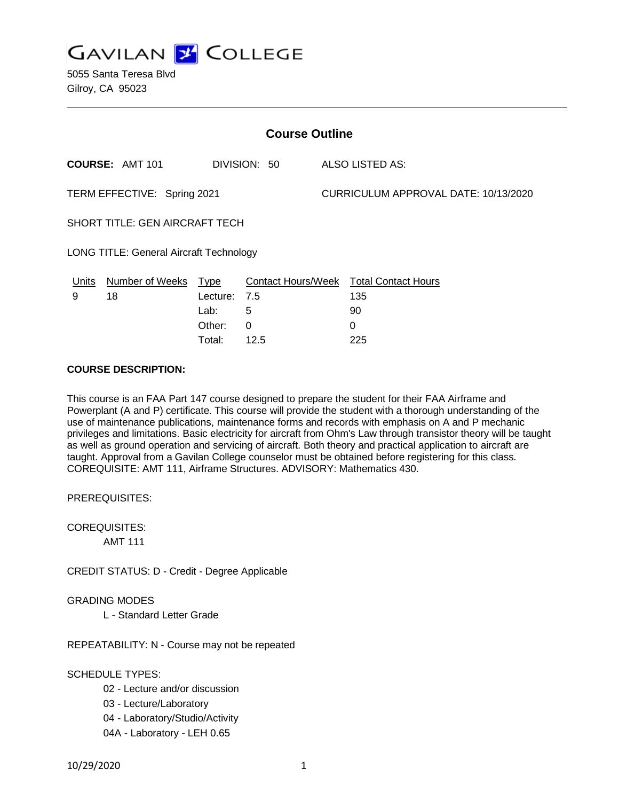

5055 Santa Teresa Blvd Gilroy, CA 95023

| <b>Course Outline</b>                          |                        |             |              |  |                                        |  |
|------------------------------------------------|------------------------|-------------|--------------|--|----------------------------------------|--|
|                                                | <b>COURSE: AMT 101</b> |             | DIVISION: 50 |  | ALSO LISTED AS:                        |  |
| TERM EFFECTIVE: Spring 2021                    |                        |             |              |  | CURRICULUM APPROVAL DATE: 10/13/2020   |  |
| <b>SHORT TITLE: GEN AIRCRAFT TECH</b>          |                        |             |              |  |                                        |  |
| <b>LONG TITLE: General Aircraft Technology</b> |                        |             |              |  |                                        |  |
| Units                                          | Number of Weeks        | <b>Type</b> |              |  | Contact Hours/Week Total Contact Hours |  |
| 9                                              | 18                     | Lecture:    | 7.5          |  | 135                                    |  |
|                                                |                        | Lab:        | 5            |  | 90                                     |  |
|                                                |                        | Other:      | 0            |  | 0                                      |  |

Total: 12.5 225

# **COURSE DESCRIPTION:**

This course is an FAA Part 147 course designed to prepare the student for their FAA Airframe and Powerplant (A and P) certificate. This course will provide the student with a thorough understanding of the use of maintenance publications, maintenance forms and records with emphasis on A and P mechanic privileges and limitations. Basic electricity for aircraft from Ohm's Law through transistor theory will be taught as well as ground operation and servicing of aircraft. Both theory and practical application to aircraft are taught. Approval from a Gavilan College counselor must be obtained before registering for this class. COREQUISITE: AMT 111, Airframe Structures. ADVISORY: Mathematics 430.

PREREQUISITES:

COREQUISITES:

AMT 111

CREDIT STATUS: D - Credit - Degree Applicable

GRADING MODES

L - Standard Letter Grade

REPEATABILITY: N - Course may not be repeated

## SCHEDULE TYPES:

- 02 Lecture and/or discussion
- 03 Lecture/Laboratory
- 04 Laboratory/Studio/Activity
- 04A Laboratory LEH 0.65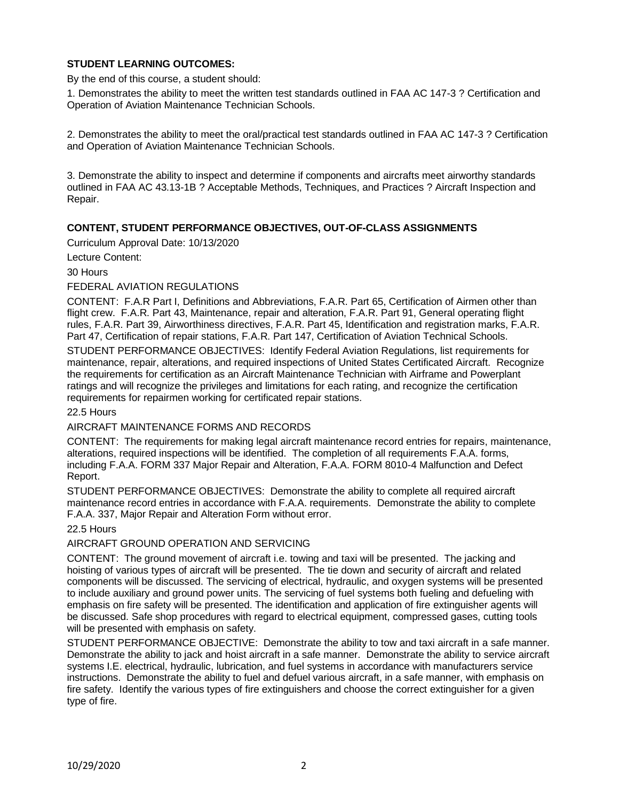# **STUDENT LEARNING OUTCOMES:**

By the end of this course, a student should:

1. Demonstrates the ability to meet the written test standards outlined in FAA AC 147-3 ? Certification and Operation of Aviation Maintenance Technician Schools.

2. Demonstrates the ability to meet the oral/practical test standards outlined in FAA AC 147-3 ? Certification and Operation of Aviation Maintenance Technician Schools.

3. Demonstrate the ability to inspect and determine if components and aircrafts meet airworthy standards outlined in FAA AC 43.13-1B ? Acceptable Methods, Techniques, and Practices ? Aircraft Inspection and Repair.

# **CONTENT, STUDENT PERFORMANCE OBJECTIVES, OUT-OF-CLASS ASSIGNMENTS**

Curriculum Approval Date: 10/13/2020

Lecture Content:

30 Hours

#### FEDERAL AVIATION REGULATIONS

CONTENT: F.A.R Part I, Definitions and Abbreviations, F.A.R. Part 65, Certification of Airmen other than flight crew. F.A.R. Part 43, Maintenance, repair and alteration, F.A.R. Part 91, General operating flight rules, F.A.R. Part 39, Airworthiness directives, F.A.R. Part 45, Identification and registration marks, F.A.R. Part 47, Certification of repair stations, F.A.R. Part 147, Certification of Aviation Technical Schools.

STUDENT PERFORMANCE OBJECTIVES: Identify Federal Aviation Regulations, list requirements for maintenance, repair, alterations, and required inspections of United States Certificated Aircraft. Recognize the requirements for certification as an Aircraft Maintenance Technician with Airframe and Powerplant ratings and will recognize the privileges and limitations for each rating, and recognize the certification requirements for repairmen working for certificated repair stations.

22.5 Hours

#### AIRCRAFT MAINTENANCE FORMS AND RECORDS

CONTENT: The requirements for making legal aircraft maintenance record entries for repairs, maintenance, alterations, required inspections will be identified. The completion of all requirements F.A.A. forms, including F.A.A. FORM 337 Major Repair and Alteration, F.A.A. FORM 8010-4 Malfunction and Defect Report.

STUDENT PERFORMANCE OBJECTIVES: Demonstrate the ability to complete all required aircraft maintenance record entries in accordance with F.A.A. requirements. Demonstrate the ability to complete F.A.A. 337, Major Repair and Alteration Form without error.

## 22.5 Hours

## AIRCRAFT GROUND OPERATION AND SERVICING

CONTENT: The ground movement of aircraft i.e. towing and taxi will be presented. The jacking and hoisting of various types of aircraft will be presented. The tie down and security of aircraft and related components will be discussed. The servicing of electrical, hydraulic, and oxygen systems will be presented to include auxiliary and ground power units. The servicing of fuel systems both fueling and defueling with emphasis on fire safety will be presented. The identification and application of fire extinguisher agents will be discussed. Safe shop procedures with regard to electrical equipment, compressed gases, cutting tools will be presented with emphasis on safety.

STUDENT PERFORMANCE OBJECTIVE: Demonstrate the ability to tow and taxi aircraft in a safe manner. Demonstrate the ability to jack and hoist aircraft in a safe manner. Demonstrate the ability to service aircraft systems I.E. electrical, hydraulic, lubrication, and fuel systems in accordance with manufacturers service instructions. Demonstrate the ability to fuel and defuel various aircraft, in a safe manner, with emphasis on fire safety. Identify the various types of fire extinguishers and choose the correct extinguisher for a given type of fire.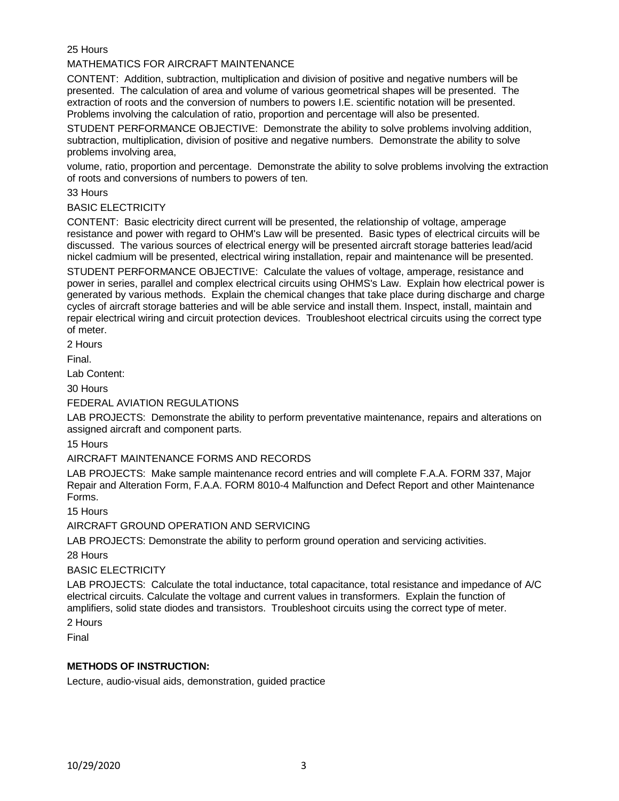25 Hours

MATHEMATICS FOR AIRCRAFT MAINTENANCE

CONTENT: Addition, subtraction, multiplication and division of positive and negative numbers will be presented. The calculation of area and volume of various geometrical shapes will be presented. The extraction of roots and the conversion of numbers to powers I.E. scientific notation will be presented. Problems involving the calculation of ratio, proportion and percentage will also be presented.

STUDENT PERFORMANCE OBJECTIVE: Demonstrate the ability to solve problems involving addition, subtraction, multiplication, division of positive and negative numbers. Demonstrate the ability to solve problems involving area,

volume, ratio, proportion and percentage. Demonstrate the ability to solve problems involving the extraction of roots and conversions of numbers to powers of ten.

33 Hours

#### BASIC ELECTRICITY

CONTENT: Basic electricity direct current will be presented, the relationship of voltage, amperage resistance and power with regard to OHM's Law will be presented. Basic types of electrical circuits will be discussed. The various sources of electrical energy will be presented aircraft storage batteries lead/acid nickel cadmium will be presented, electrical wiring installation, repair and maintenance will be presented.

STUDENT PERFORMANCE OBJECTIVE: Calculate the values of voltage, amperage, resistance and power in series, parallel and complex electrical circuits using OHMS's Law. Explain how electrical power is generated by various methods. Explain the chemical changes that take place during discharge and charge cycles of aircraft storage batteries and will be able service and install them. Inspect, install, maintain and repair electrical wiring and circuit protection devices. Troubleshoot electrical circuits using the correct type of meter.

2 Hours

Final.

Lab Content:

30 Hours

FEDERAL AVIATION REGULATIONS

LAB PROJECTS: Demonstrate the ability to perform preventative maintenance, repairs and alterations on assigned aircraft and component parts.

15 Hours

## AIRCRAFT MAINTENANCE FORMS AND RECORDS

LAB PROJECTS: Make sample maintenance record entries and will complete F.A.A. FORM 337, Major Repair and Alteration Form, F.A.A. FORM 8010-4 Malfunction and Defect Report and other Maintenance Forms.

15 Hours

AIRCRAFT GROUND OPERATION AND SERVICING

LAB PROJECTS: Demonstrate the ability to perform ground operation and servicing activities.

28 Hours

#### BASIC ELECTRICITY

LAB PROJECTS: Calculate the total inductance, total capacitance, total resistance and impedance of A/C electrical circuits. Calculate the voltage and current values in transformers. Explain the function of amplifiers, solid state diodes and transistors. Troubleshoot circuits using the correct type of meter.

2 Hours

Final

## **METHODS OF INSTRUCTION:**

Lecture, audio-visual aids, demonstration, guided practice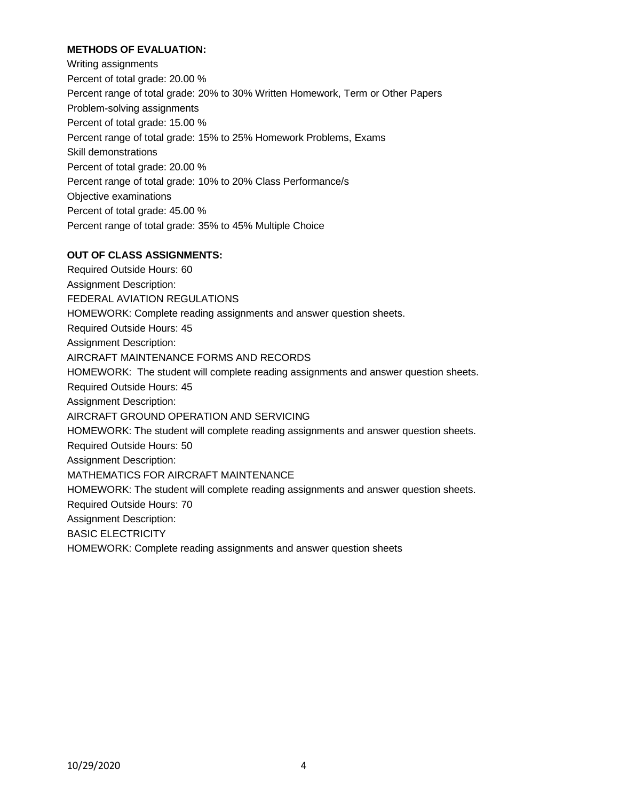# **METHODS OF EVALUATION:**

Writing assignments Percent of total grade: 20.00 % Percent range of total grade: 20% to 30% Written Homework, Term or Other Papers Problem-solving assignments Percent of total grade: 15.00 % Percent range of total grade: 15% to 25% Homework Problems, Exams Skill demonstrations Percent of total grade: 20.00 % Percent range of total grade: 10% to 20% Class Performance/s Objective examinations Percent of total grade: 45.00 % Percent range of total grade: 35% to 45% Multiple Choice

## **OUT OF CLASS ASSIGNMENTS:**

Required Outside Hours: 60 Assignment Description: FEDERAL AVIATION REGULATIONS HOMEWORK: Complete reading assignments and answer question sheets. Required Outside Hours: 45 Assignment Description: AIRCRAFT MAINTENANCE FORMS AND RECORDS HOMEWORK: The student will complete reading assignments and answer question sheets. Required Outside Hours: 45 Assignment Description: AIRCRAFT GROUND OPERATION AND SERVICING HOMEWORK: The student will complete reading assignments and answer question sheets. Required Outside Hours: 50 Assignment Description: MATHEMATICS FOR AIRCRAFT MAINTENANCE HOMEWORK: The student will complete reading assignments and answer question sheets. Required Outside Hours: 70 Assignment Description: BASIC ELECTRICITY HOMEWORK: Complete reading assignments and answer question sheets